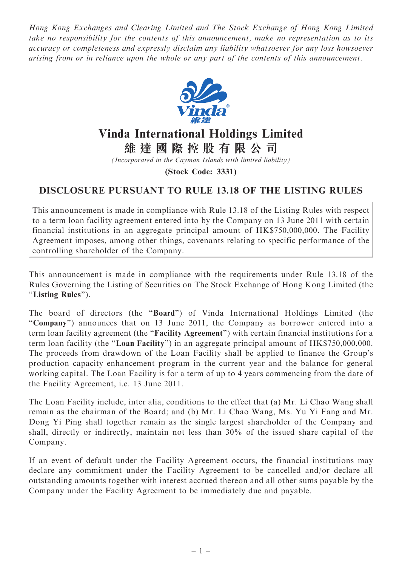Hong Kong Exchanges and Clearing Limited and The Stock Exchange of Hong Kong Limited take no responsibility for the contents of this announcement, make no representation as to its accuracy or completeness and expressly disclaim any liability whatsoever for any loss howsoever arising from or in reliance upon the whole or any part of the contents of this announcement.



## Vinda International Holdings Limited

維 達 國 際 控 股 有 限 公 司

(Incorporated in the Cayman Islands with limited liability)

(Stock Code: 3331)

## DISCLOSURE PURSUANT TO RULE 13.18 OF THE LISTING RULES

This announcement is made in compliance with Rule 13.18 of the Listing Rules with respect to a term loan facility agreement entered into by the Company on 13 June 2011 with certain financial institutions in an aggregate principal amount of HK\$750,000,000. The Facility Agreement imposes, among other things, covenants relating to specific performance of the controlling shareholder of the Company.

This announcement is made in compliance with the requirements under Rule 13.18 of the Rules Governing the Listing of Securities on The Stock Exchange of Hong Kong Limited (the ''Listing Rules'').

The board of directors (the ''Board'') of Vinda International Holdings Limited (the ''Company'') announces that on 13 June 2011, the Company as borrower entered into a term loan facility agreement (the ''Facility Agreement'') with certain financial institutions for a term loan facility (the "Loan Facility") in an aggregate principal amount of HK\$750,000,000. The proceeds from drawdown of the Loan Facility shall be applied to finance the Group's production capacity enhancement program in the current year and the balance for general working capital. The Loan Facility is for a term of up to 4 years commencing from the date of the Facility Agreement, i.e. 13 June 2011.

The Loan Facility include, inter alia, conditions to the effect that (a) Mr. Li Chao Wang shall remain as the chairman of the Board; and (b) Mr. Li Chao Wang, Ms. Yu Yi Fang and Mr. Dong Yi Ping shall together remain as the single largest shareholder of the Company and shall, directly or indirectly, maintain not less than 30% of the issued share capital of the Company.

If an event of default under the Facility Agreement occurs, the financial institutions may declare any commitment under the Facility Agreement to be cancelled and/or declare all outstanding amounts together with interest accrued thereon and all other sums payable by the Company under the Facility Agreement to be immediately due and payable.